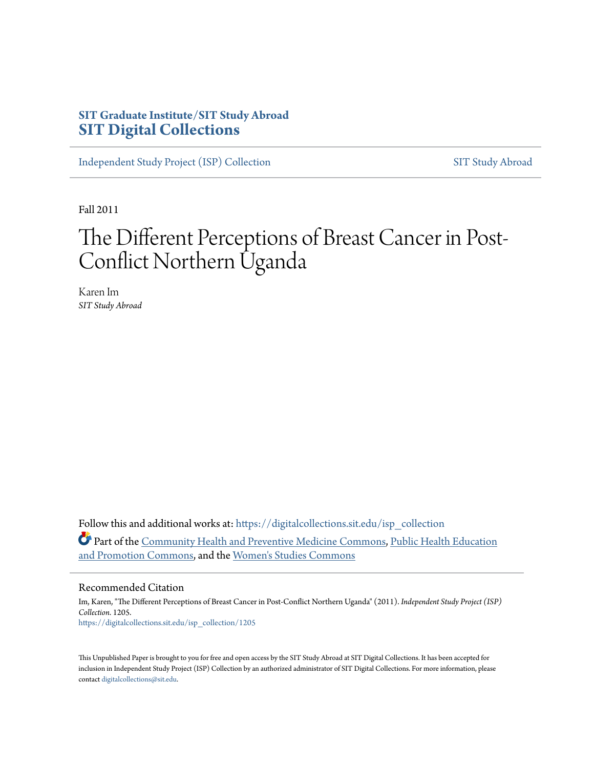# **SIT Graduate Institute/SIT Study Abroad [SIT Digital Collections](https://digitalcollections.sit.edu?utm_source=digitalcollections.sit.edu%2Fisp_collection%2F1205&utm_medium=PDF&utm_campaign=PDFCoverPages)**

[Independent Study Project \(ISP\) Collection](https://digitalcollections.sit.edu/isp_collection?utm_source=digitalcollections.sit.edu%2Fisp_collection%2F1205&utm_medium=PDF&utm_campaign=PDFCoverPages) [SIT Study Abroad](https://digitalcollections.sit.edu/study_abroad?utm_source=digitalcollections.sit.edu%2Fisp_collection%2F1205&utm_medium=PDF&utm_campaign=PDFCoverPages)

Fall 2011

# The Different Perceptions of Breast Cancer in Post-Conflict Northern Uganda

Karen Im *SIT Study Abroad*

Follow this and additional works at: [https://digitalcollections.sit.edu/isp\\_collection](https://digitalcollections.sit.edu/isp_collection?utm_source=digitalcollections.sit.edu%2Fisp_collection%2F1205&utm_medium=PDF&utm_campaign=PDFCoverPages) Part of the [Community Health and Preventive Medicine Commons,](http://network.bepress.com/hgg/discipline/744?utm_source=digitalcollections.sit.edu%2Fisp_collection%2F1205&utm_medium=PDF&utm_campaign=PDFCoverPages) [Public Health Education](http://network.bepress.com/hgg/discipline/743?utm_source=digitalcollections.sit.edu%2Fisp_collection%2F1205&utm_medium=PDF&utm_campaign=PDFCoverPages) [and Promotion Commons](http://network.bepress.com/hgg/discipline/743?utm_source=digitalcollections.sit.edu%2Fisp_collection%2F1205&utm_medium=PDF&utm_campaign=PDFCoverPages), and the [Women's Studies Commons](http://network.bepress.com/hgg/discipline/561?utm_source=digitalcollections.sit.edu%2Fisp_collection%2F1205&utm_medium=PDF&utm_campaign=PDFCoverPages)

#### Recommended Citation

Im, Karen, "The Different Perceptions of Breast Cancer in Post-Conflict Northern Uganda" (2011). *Independent Study Project (ISP) Collection*. 1205. [https://digitalcollections.sit.edu/isp\\_collection/1205](https://digitalcollections.sit.edu/isp_collection/1205?utm_source=digitalcollections.sit.edu%2Fisp_collection%2F1205&utm_medium=PDF&utm_campaign=PDFCoverPages)

This Unpublished Paper is brought to you for free and open access by the SIT Study Abroad at SIT Digital Collections. It has been accepted for inclusion in Independent Study Project (ISP) Collection by an authorized administrator of SIT Digital Collections. For more information, please contact [digitalcollections@sit.edu](mailto:digitalcollections@sit.edu).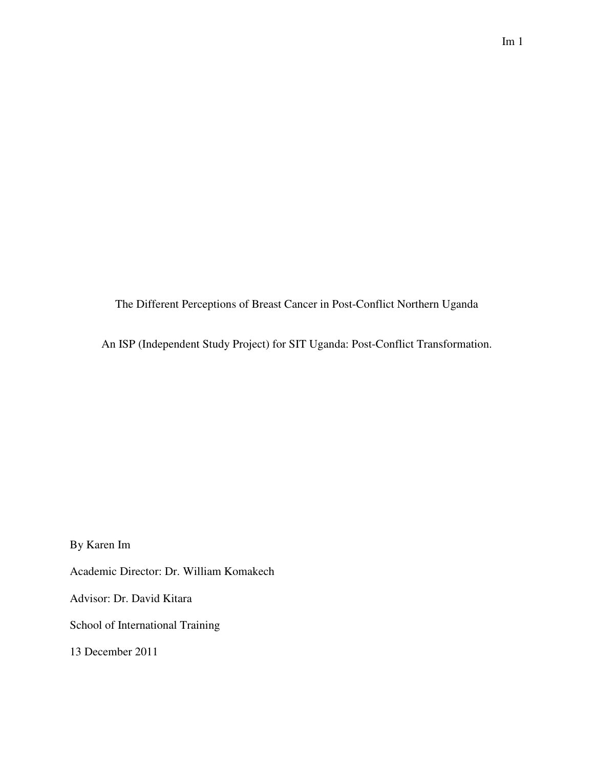The Different Perceptions of Breast Cancer in Post-Conflict Northern Uganda

An ISP (Independent Study Project) for SIT Uganda: Post-Conflict Transformation.

By Karen Im

Academic Director: Dr. William Komakech

Advisor: Dr. David Kitara

School of International Training

13 December 2011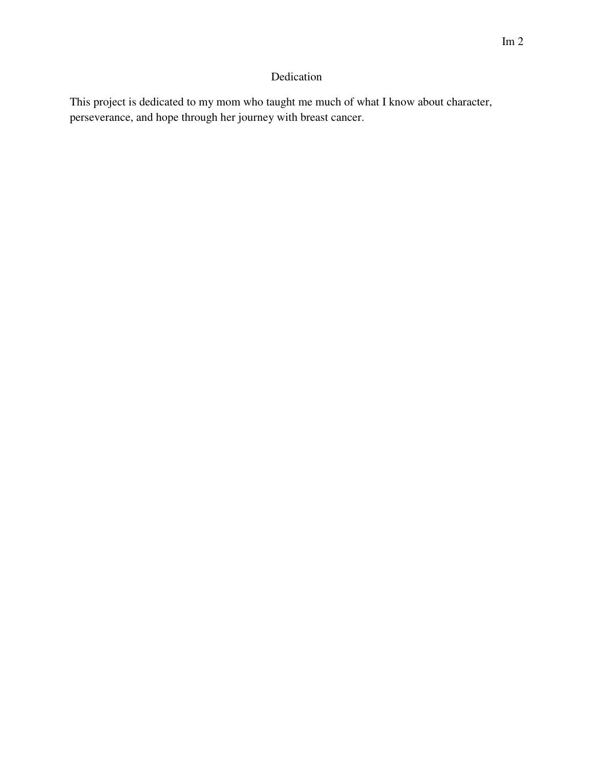# Dedication

This project is dedicated to my mom who taught me much of what I know about character, perseverance, and hope through her journey with breast cancer.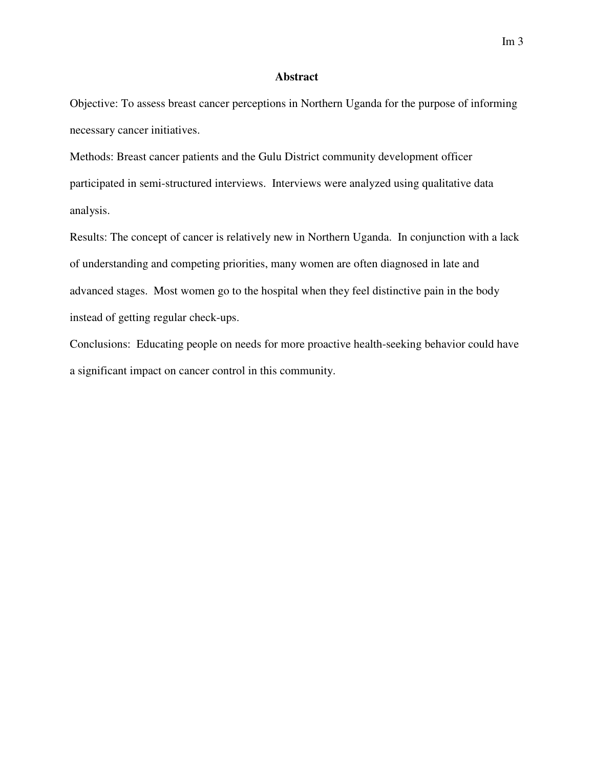### **Abstract**

Objective: To assess breast cancer perceptions in Northern Uganda for the purpose of informing necessary cancer initiatives.

Methods: Breast cancer patients and the Gulu District community development officer participated in semi-structured interviews. Interviews were analyzed using qualitative data analysis.

Results: The concept of cancer is relatively new in Northern Uganda. In conjunction with a lack of understanding and competing priorities, many women are often diagnosed in late and advanced stages. Most women go to the hospital when they feel distinctive pain in the body instead of getting regular check-ups.

Conclusions: Educating people on needs for more proactive health-seeking behavior could have a significant impact on cancer control in this community.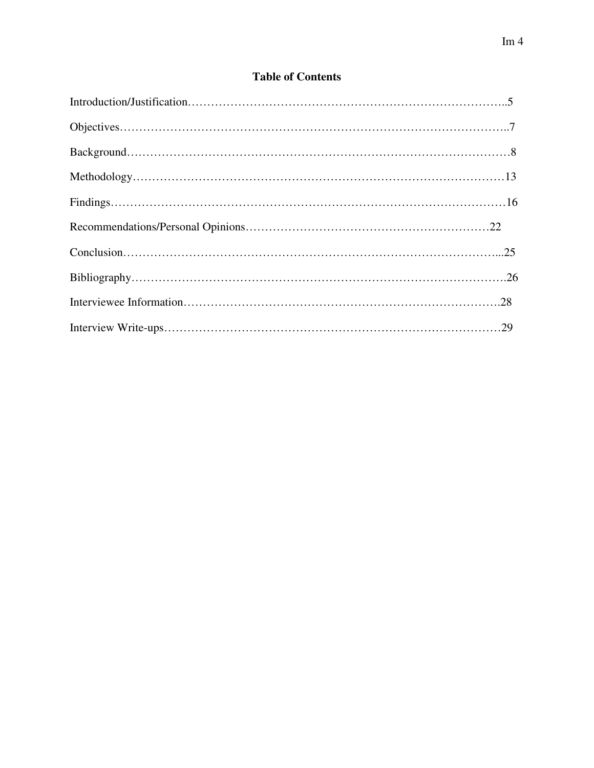# **Table of Contents**

| $Conclusion \dots 25$ |  |
|-----------------------|--|
|                       |  |
|                       |  |
|                       |  |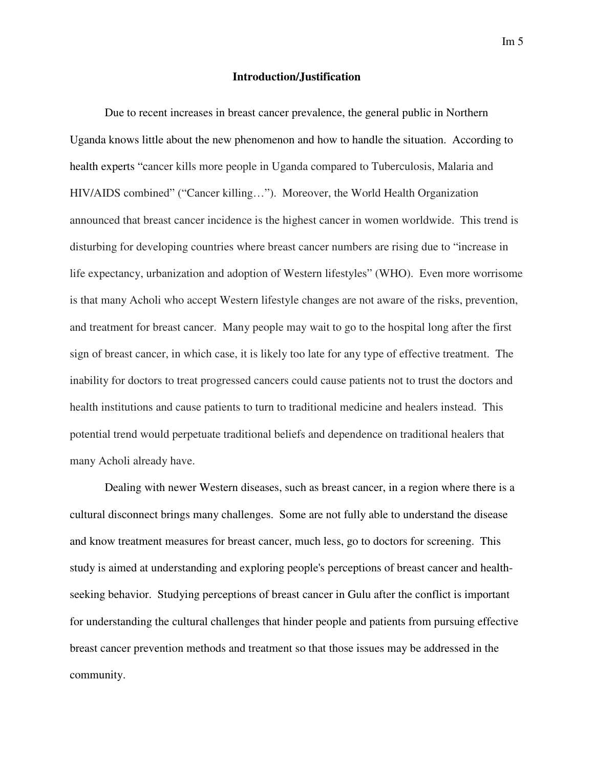#### **Introduction/Justification**

 Due to recent increases in breast cancer prevalence, the general public in Northern Uganda knows little about the new phenomenon and how to handle the situation. According to health experts "cancer kills more people in Uganda compared to Tuberculosis, Malaria and HIV/AIDS combined" ("Cancer killing…"). Moreover, the World Health Organization announced that breast cancer incidence is the highest cancer in women worldwide. This trend is disturbing for developing countries where breast cancer numbers are rising due to "increase in life expectancy, urbanization and adoption of Western lifestyles" (WHO). Even more worrisome is that many Acholi who accept Western lifestyle changes are not aware of the risks, prevention, and treatment for breast cancer. Many people may wait to go to the hospital long after the first sign of breast cancer, in which case, it is likely too late for any type of effective treatment. The inability for doctors to treat progressed cancers could cause patients not to trust the doctors and health institutions and cause patients to turn to traditional medicine and healers instead. This potential trend would perpetuate traditional beliefs and dependence on traditional healers that many Acholi already have.

Dealing with newer Western diseases, such as breast cancer, in a region where there is a cultural disconnect brings many challenges. Some are not fully able to understand the disease and know treatment measures for breast cancer, much less, go to doctors for screening. This study is aimed at understanding and exploring people's perceptions of breast cancer and healthseeking behavior. Studying perceptions of breast cancer in Gulu after the conflict is important for understanding the cultural challenges that hinder people and patients from pursuing effective breast cancer prevention methods and treatment so that those issues may be addressed in the community.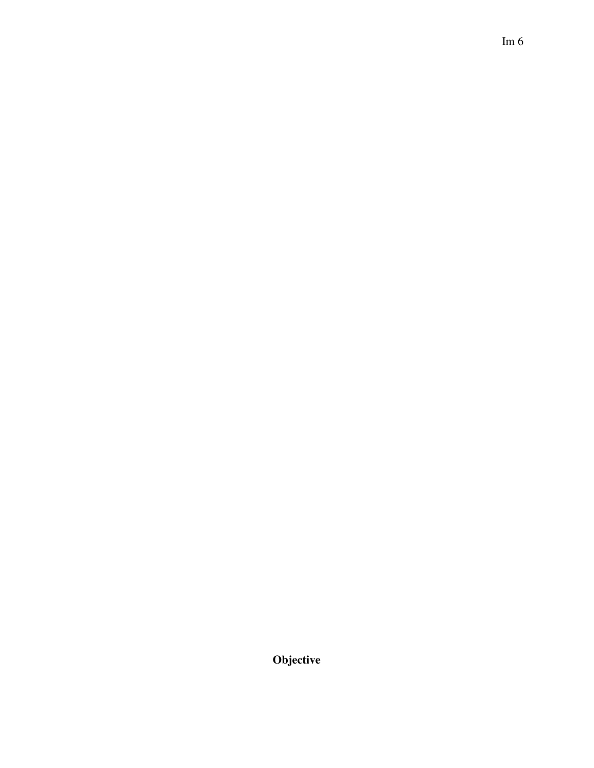**Objective**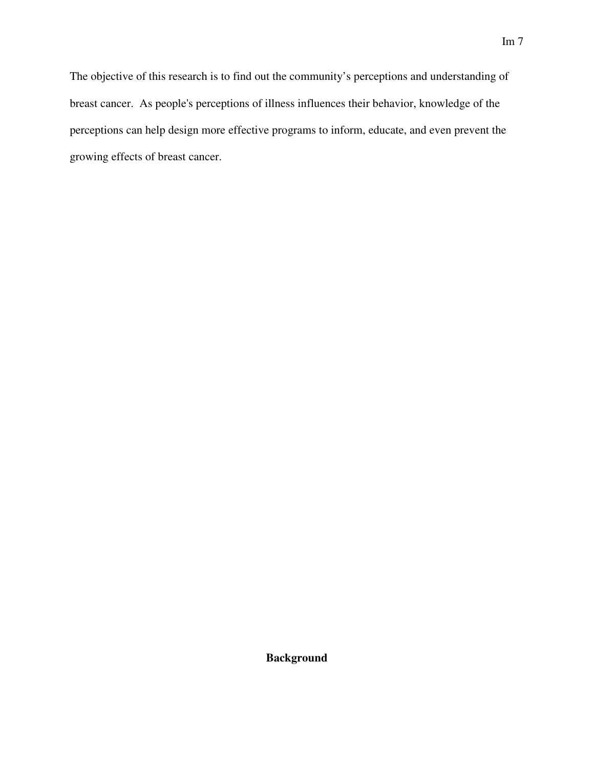The objective of this research is to find out the community's perceptions and understanding of breast cancer. As people's perceptions of illness influences their behavior, knowledge of the perceptions can help design more effective programs to inform, educate, and even prevent the growing effects of breast cancer.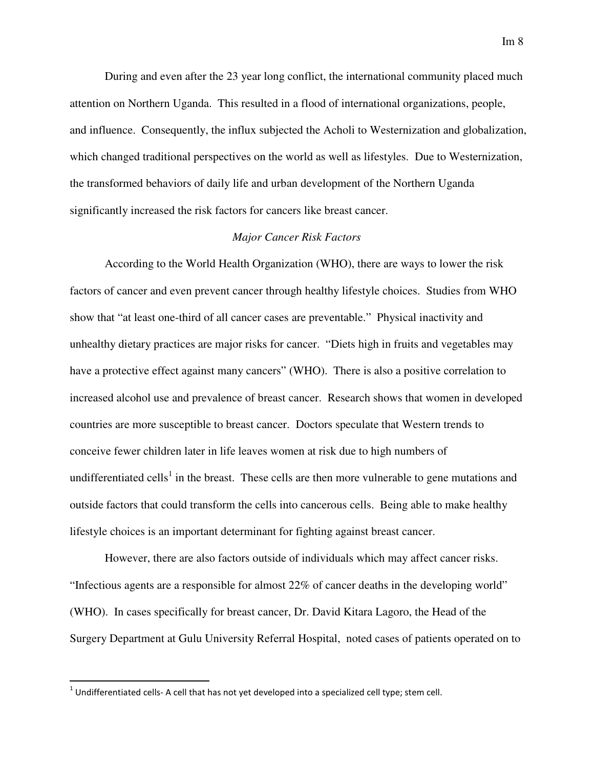During and even after the 23 year long conflict, the international community placed much attention on Northern Uganda. This resulted in a flood of international organizations, people, and influence. Consequently, the influx subjected the Acholi to Westernization and globalization, which changed traditional perspectives on the world as well as lifestyles. Due to Westernization, the transformed behaviors of daily life and urban development of the Northern Uganda significantly increased the risk factors for cancers like breast cancer.

#### *Major Cancer Risk Factors*

 According to the World Health Organization (WHO), there are ways to lower the risk factors of cancer and even prevent cancer through healthy lifestyle choices. Studies from WHO show that "at least one-third of all cancer cases are preventable." Physical inactivity and unhealthy dietary practices are major risks for cancer. "Diets high in fruits and vegetables may have a protective effect against many cancers" (WHO). There is also a positive correlation to increased alcohol use and prevalence of breast cancer. Research shows that women in developed countries are more susceptible to breast cancer. Doctors speculate that Western trends to conceive fewer children later in life leaves women at risk due to high numbers of undifferentiated cells<sup>1</sup> in the breast. These cells are then more vulnerable to gene mutations and outside factors that could transform the cells into cancerous cells. Being able to make healthy lifestyle choices is an important determinant for fighting against breast cancer.

 However, there are also factors outside of individuals which may affect cancer risks. "Infectious agents are a responsible for almost 22% of cancer deaths in the developing world" (WHO). In cases specifically for breast cancer, Dr. David Kitara Lagoro, the Head of the Surgery Department at Gulu University Referral Hospital, noted cases of patients operated on to

l

 $^1$  Undifferentiated cells- A cell that has not yet developed into a specialized cell type; stem cell.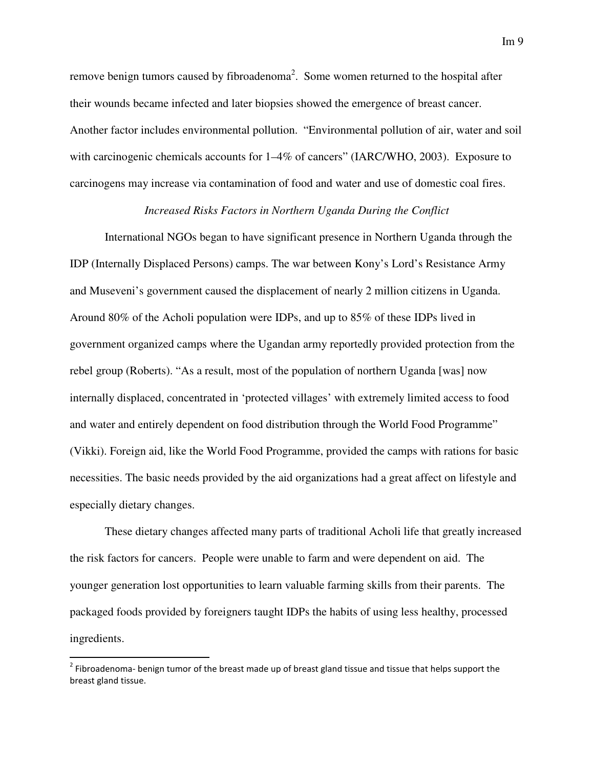remove benign tumors caused by fibroadenoma<sup>2</sup>. Some women returned to the hospital after their wounds became infected and later biopsies showed the emergence of breast cancer. Another factor includes environmental pollution. "Environmental pollution of air, water and soil with carcinogenic chemicals accounts for  $1-4\%$  of cancers" (IARC/WHO, 2003). Exposure to carcinogens may increase via contamination of food and water and use of domestic coal fires.

### *Increased Risks Factors in Northern Uganda During the Conflict*

 International NGOs began to have significant presence in Northern Uganda through the IDP (Internally Displaced Persons) camps. The war between Kony's Lord's Resistance Army and Museveni's government caused the displacement of nearly 2 million citizens in Uganda. Around 80% of the Acholi population were IDPs, and up to 85% of these IDPs lived in government organized camps where the Ugandan army reportedly provided protection from the rebel group (Roberts). "As a result, most of the population of northern Uganda [was] now internally displaced, concentrated in 'protected villages' with extremely limited access to food and water and entirely dependent on food distribution through the World Food Programme" (Vikki). Foreign aid, like the World Food Programme, provided the camps with rations for basic necessities. The basic needs provided by the aid organizations had a great affect on lifestyle and especially dietary changes.

 These dietary changes affected many parts of traditional Acholi life that greatly increased the risk factors for cancers. People were unable to farm and were dependent on aid. The younger generation lost opportunities to learn valuable farming skills from their parents. The packaged foods provided by foreigners taught IDPs the habits of using less healthy, processed ingredients.

l

 $^2$  Fibroadenoma- benign tumor of the breast made up of breast gland tissue and tissue that helps support the breast gland tissue.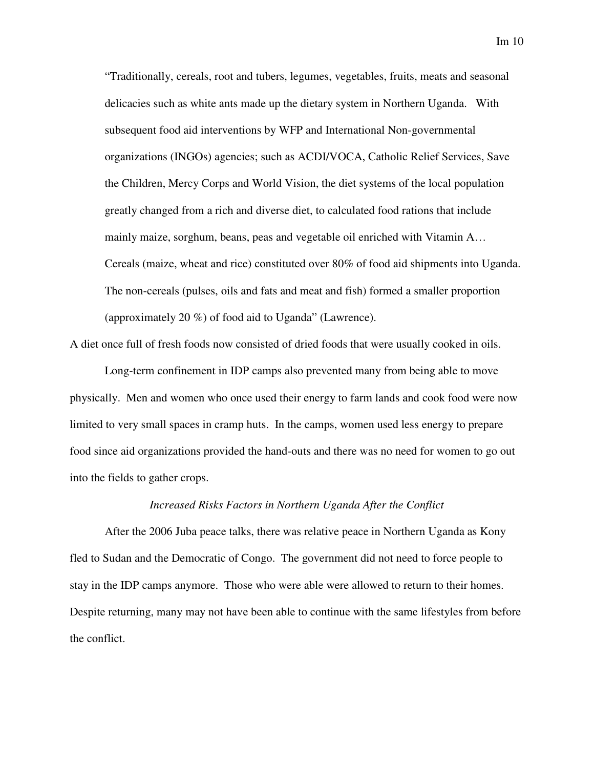"Traditionally, cereals, root and tubers, legumes, vegetables, fruits, meats and seasonal delicacies such as white ants made up the dietary system in Northern Uganda. With subsequent food aid interventions by WFP and International Non-governmental organizations (INGOs) agencies; such as ACDI/VOCA, Catholic Relief Services, Save the Children, Mercy Corps and World Vision, the diet systems of the local population greatly changed from a rich and diverse diet, to calculated food rations that include mainly maize, sorghum, beans, peas and vegetable oil enriched with Vitamin A… Cereals (maize, wheat and rice) constituted over 80% of food aid shipments into Uganda. The non-cereals (pulses, oils and fats and meat and fish) formed a smaller proportion (approximately 20 %) of food aid to Uganda" (Lawrence).

A diet once full of fresh foods now consisted of dried foods that were usually cooked in oils.

 Long-term confinement in IDP camps also prevented many from being able to move physically. Men and women who once used their energy to farm lands and cook food were now limited to very small spaces in cramp huts. In the camps, women used less energy to prepare food since aid organizations provided the hand-outs and there was no need for women to go out into the fields to gather crops.

#### *Increased Risks Factors in Northern Uganda After the Conflict*

 After the 2006 Juba peace talks, there was relative peace in Northern Uganda as Kony fled to Sudan and the Democratic of Congo. The government did not need to force people to stay in the IDP camps anymore. Those who were able were allowed to return to their homes. Despite returning, many may not have been able to continue with the same lifestyles from before the conflict.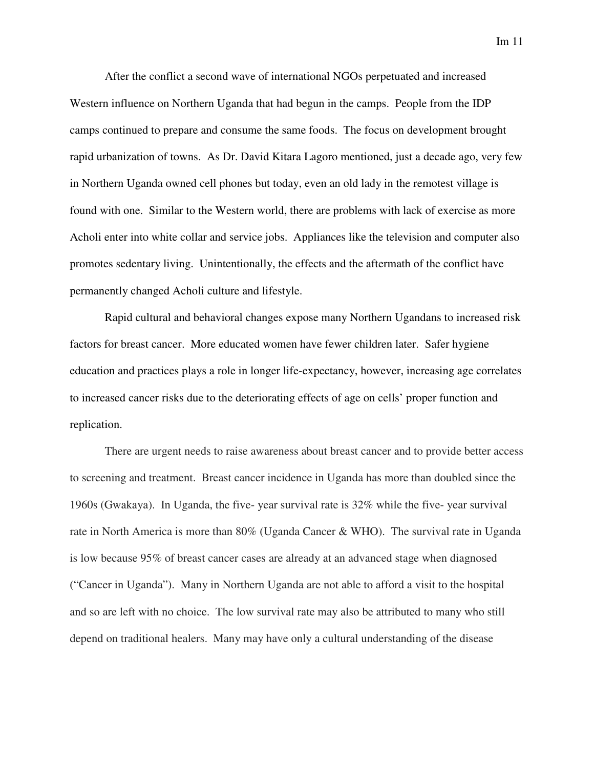After the conflict a second wave of international NGOs perpetuated and increased Western influence on Northern Uganda that had begun in the camps. People from the IDP camps continued to prepare and consume the same foods. The focus on development brought rapid urbanization of towns. As Dr. David Kitara Lagoro mentioned, just a decade ago, very few in Northern Uganda owned cell phones but today, even an old lady in the remotest village is found with one. Similar to the Western world, there are problems with lack of exercise as more Acholi enter into white collar and service jobs. Appliances like the television and computer also promotes sedentary living. Unintentionally, the effects and the aftermath of the conflict have permanently changed Acholi culture and lifestyle.

 Rapid cultural and behavioral changes expose many Northern Ugandans to increased risk factors for breast cancer. More educated women have fewer children later. Safer hygiene education and practices plays a role in longer life-expectancy, however, increasing age correlates to increased cancer risks due to the deteriorating effects of age on cells' proper function and replication.

There are urgent needs to raise awareness about breast cancer and to provide better access to screening and treatment. Breast cancer incidence in Uganda has more than doubled since the 1960s (Gwakaya). In Uganda, the five- year survival rate is 32% while the five- year survival rate in North America is more than 80% (Uganda Cancer & WHO). The survival rate in Uganda is low because 95% of breast cancer cases are already at an advanced stage when diagnosed ("Cancer in Uganda"). Many in Northern Uganda are not able to afford a visit to the hospital and so are left with no choice. The low survival rate may also be attributed to many who still depend on traditional healers. Many may have only a cultural understanding of the disease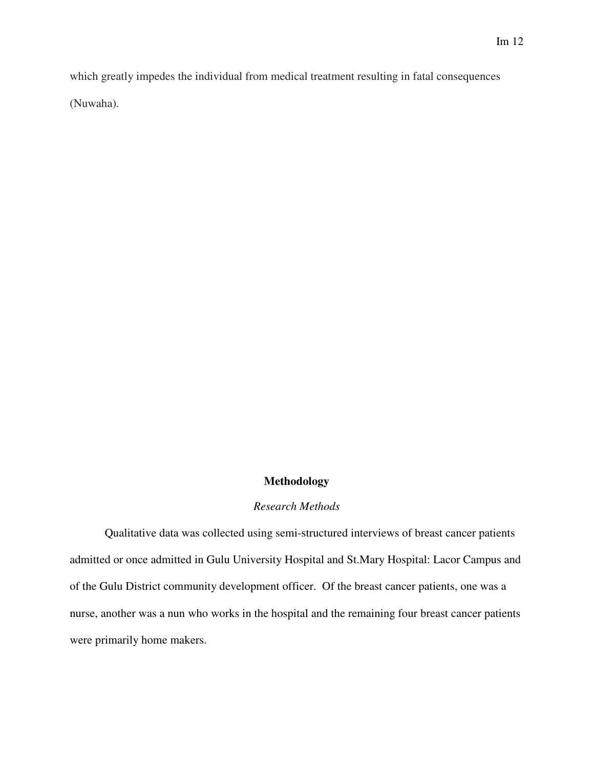which greatly impedes the individual from medical treatment resulting in fatal consequences (Nuwaha).

### **Methodology**

### *Research Methods*

Qualitative data was collected using semi-structured interviews of breast cancer patients admitted or once admitted in Gulu University Hospital and St.Mary Hospital: Lacor Campus and of the Gulu District community development officer. Of the breast cancer patients, one was a nurse, another was a nun who works in the hospital and the remaining four breast cancer patients were primarily home makers.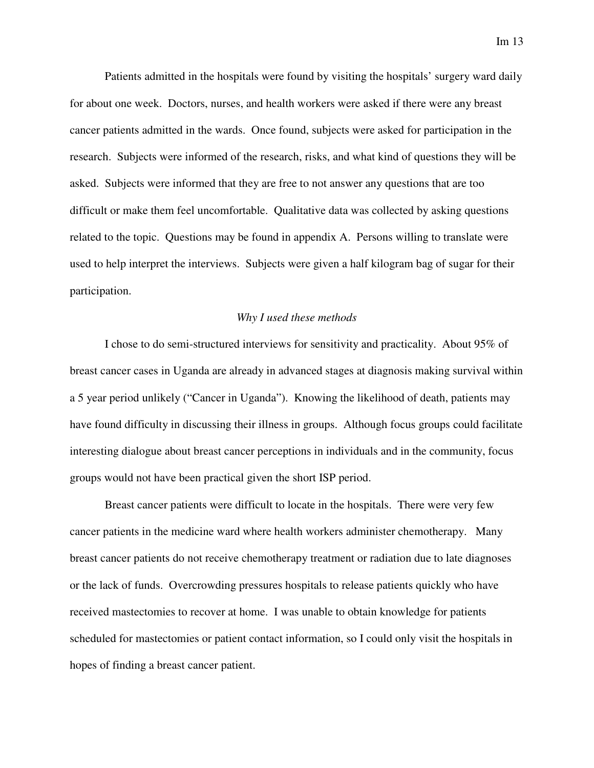Patients admitted in the hospitals were found by visiting the hospitals' surgery ward daily for about one week. Doctors, nurses, and health workers were asked if there were any breast cancer patients admitted in the wards. Once found, subjects were asked for participation in the research. Subjects were informed of the research, risks, and what kind of questions they will be asked. Subjects were informed that they are free to not answer any questions that are too difficult or make them feel uncomfortable. Qualitative data was collected by asking questions related to the topic. Questions may be found in appendix A. Persons willing to translate were used to help interpret the interviews. Subjects were given a half kilogram bag of sugar for their participation.

#### *Why I used these methods*

I chose to do semi-structured interviews for sensitivity and practicality. About 95% of breast cancer cases in Uganda are already in advanced stages at diagnosis making survival within a 5 year period unlikely ("Cancer in Uganda"). Knowing the likelihood of death, patients may have found difficulty in discussing their illness in groups. Although focus groups could facilitate interesting dialogue about breast cancer perceptions in individuals and in the community, focus groups would not have been practical given the short ISP period.

Breast cancer patients were difficult to locate in the hospitals. There were very few cancer patients in the medicine ward where health workers administer chemotherapy. Many breast cancer patients do not receive chemotherapy treatment or radiation due to late diagnoses or the lack of funds. Overcrowding pressures hospitals to release patients quickly who have received mastectomies to recover at home. I was unable to obtain knowledge for patients scheduled for mastectomies or patient contact information, so I could only visit the hospitals in hopes of finding a breast cancer patient.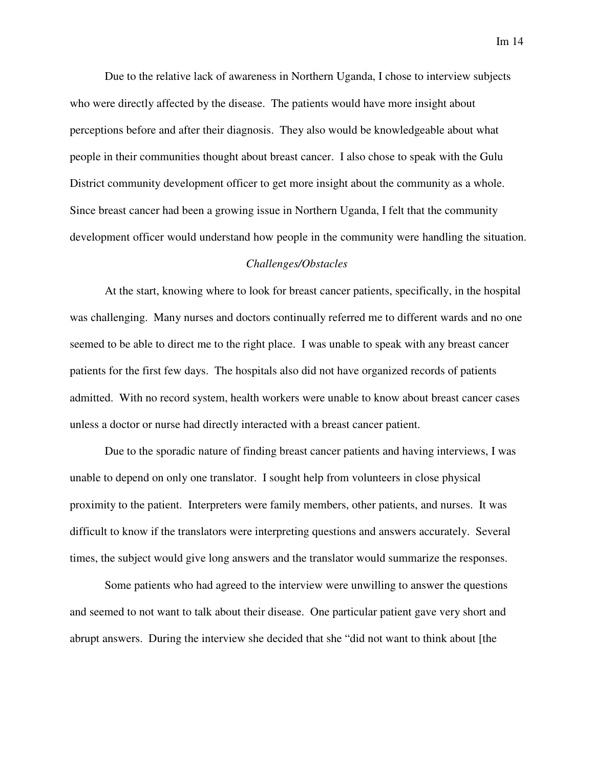Due to the relative lack of awareness in Northern Uganda, I chose to interview subjects who were directly affected by the disease. The patients would have more insight about perceptions before and after their diagnosis. They also would be knowledgeable about what people in their communities thought about breast cancer. I also chose to speak with the Gulu District community development officer to get more insight about the community as a whole. Since breast cancer had been a growing issue in Northern Uganda, I felt that the community development officer would understand how people in the community were handling the situation.

#### *Challenges/Obstacles*

At the start, knowing where to look for breast cancer patients, specifically, in the hospital was challenging. Many nurses and doctors continually referred me to different wards and no one seemed to be able to direct me to the right place. I was unable to speak with any breast cancer patients for the first few days. The hospitals also did not have organized records of patients admitted. With no record system, health workers were unable to know about breast cancer cases unless a doctor or nurse had directly interacted with a breast cancer patient.

Due to the sporadic nature of finding breast cancer patients and having interviews, I was unable to depend on only one translator. I sought help from volunteers in close physical proximity to the patient. Interpreters were family members, other patients, and nurses. It was difficult to know if the translators were interpreting questions and answers accurately. Several times, the subject would give long answers and the translator would summarize the responses.

Some patients who had agreed to the interview were unwilling to answer the questions and seemed to not want to talk about their disease. One particular patient gave very short and abrupt answers. During the interview she decided that she "did not want to think about [the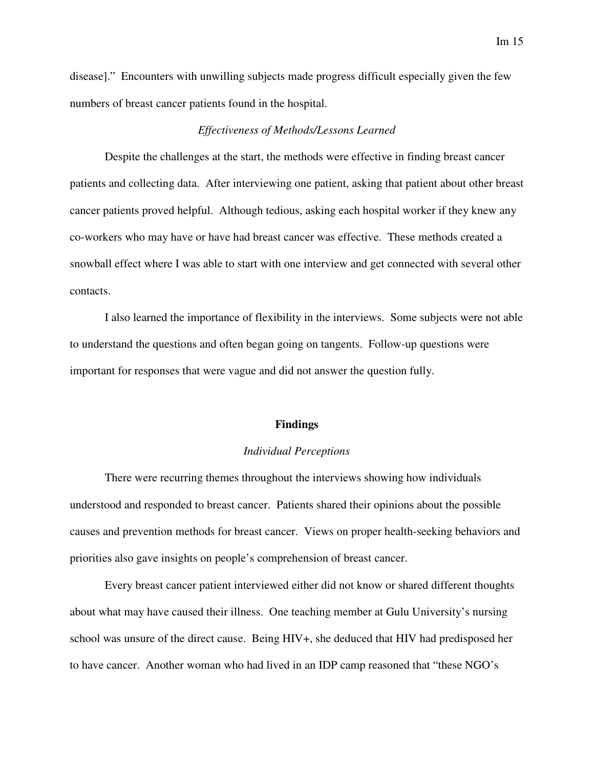disease]." Encounters with unwilling subjects made progress difficult especially given the few numbers of breast cancer patients found in the hospital.

### *Effectiveness of Methods/Lessons Learned*

 Despite the challenges at the start, the methods were effective in finding breast cancer patients and collecting data. After interviewing one patient, asking that patient about other breast cancer patients proved helpful. Although tedious, asking each hospital worker if they knew any co-workers who may have or have had breast cancer was effective. These methods created a snowball effect where I was able to start with one interview and get connected with several other contacts.

 I also learned the importance of flexibility in the interviews. Some subjects were not able to understand the questions and often began going on tangents. Follow-up questions were important for responses that were vague and did not answer the question fully.

#### **Findings**

#### *Individual Perceptions*

 There were recurring themes throughout the interviews showing how individuals understood and responded to breast cancer. Patients shared their opinions about the possible causes and prevention methods for breast cancer. Views on proper health-seeking behaviors and priorities also gave insights on people's comprehension of breast cancer.

 Every breast cancer patient interviewed either did not know or shared different thoughts about what may have caused their illness. One teaching member at Gulu University's nursing school was unsure of the direct cause. Being HIV+, she deduced that HIV had predisposed her to have cancer. Another woman who had lived in an IDP camp reasoned that "these NGO's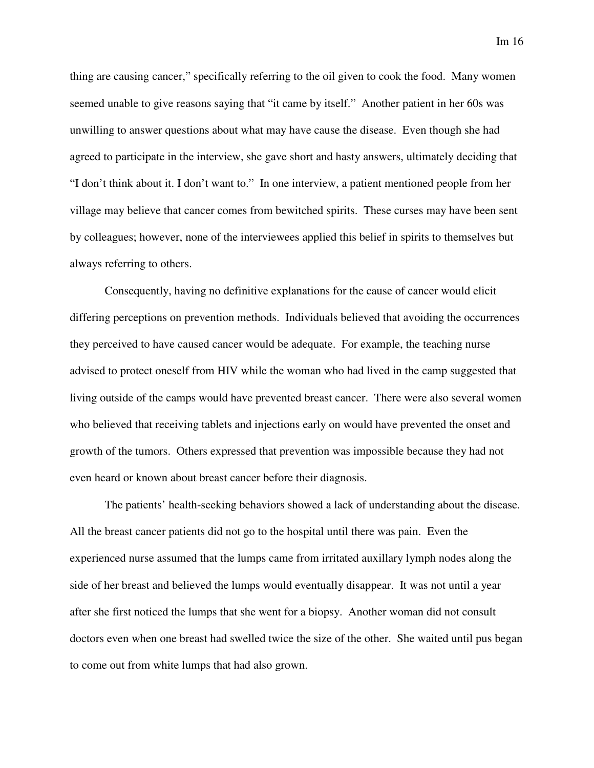thing are causing cancer," specifically referring to the oil given to cook the food. Many women seemed unable to give reasons saying that "it came by itself." Another patient in her 60s was unwilling to answer questions about what may have cause the disease. Even though she had agreed to participate in the interview, she gave short and hasty answers, ultimately deciding that "I don't think about it. I don't want to." In one interview, a patient mentioned people from her village may believe that cancer comes from bewitched spirits. These curses may have been sent by colleagues; however, none of the interviewees applied this belief in spirits to themselves but always referring to others.

 Consequently, having no definitive explanations for the cause of cancer would elicit differing perceptions on prevention methods. Individuals believed that avoiding the occurrences they perceived to have caused cancer would be adequate. For example, the teaching nurse advised to protect oneself from HIV while the woman who had lived in the camp suggested that living outside of the camps would have prevented breast cancer. There were also several women who believed that receiving tablets and injections early on would have prevented the onset and growth of the tumors. Others expressed that prevention was impossible because they had not even heard or known about breast cancer before their diagnosis.

 The patients' health-seeking behaviors showed a lack of understanding about the disease. All the breast cancer patients did not go to the hospital until there was pain. Even the experienced nurse assumed that the lumps came from irritated auxillary lymph nodes along the side of her breast and believed the lumps would eventually disappear. It was not until a year after she first noticed the lumps that she went for a biopsy. Another woman did not consult doctors even when one breast had swelled twice the size of the other. She waited until pus began to come out from white lumps that had also grown.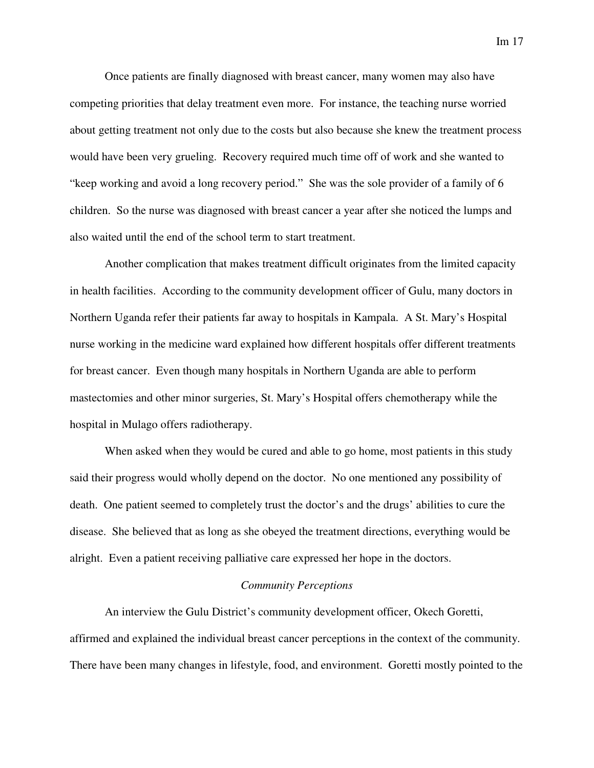Once patients are finally diagnosed with breast cancer, many women may also have competing priorities that delay treatment even more. For instance, the teaching nurse worried about getting treatment not only due to the costs but also because she knew the treatment process would have been very grueling. Recovery required much time off of work and she wanted to "keep working and avoid a long recovery period." She was the sole provider of a family of 6 children. So the nurse was diagnosed with breast cancer a year after she noticed the lumps and also waited until the end of the school term to start treatment.

 Another complication that makes treatment difficult originates from the limited capacity in health facilities. According to the community development officer of Gulu, many doctors in Northern Uganda refer their patients far away to hospitals in Kampala. A St. Mary's Hospital nurse working in the medicine ward explained how different hospitals offer different treatments for breast cancer. Even though many hospitals in Northern Uganda are able to perform mastectomies and other minor surgeries, St. Mary's Hospital offers chemotherapy while the hospital in Mulago offers radiotherapy.

 When asked when they would be cured and able to go home, most patients in this study said their progress would wholly depend on the doctor. No one mentioned any possibility of death. One patient seemed to completely trust the doctor's and the drugs' abilities to cure the disease. She believed that as long as she obeyed the treatment directions, everything would be alright. Even a patient receiving palliative care expressed her hope in the doctors.

#### *Community Perceptions*

 An interview the Gulu District's community development officer, Okech Goretti, affirmed and explained the individual breast cancer perceptions in the context of the community. There have been many changes in lifestyle, food, and environment. Goretti mostly pointed to the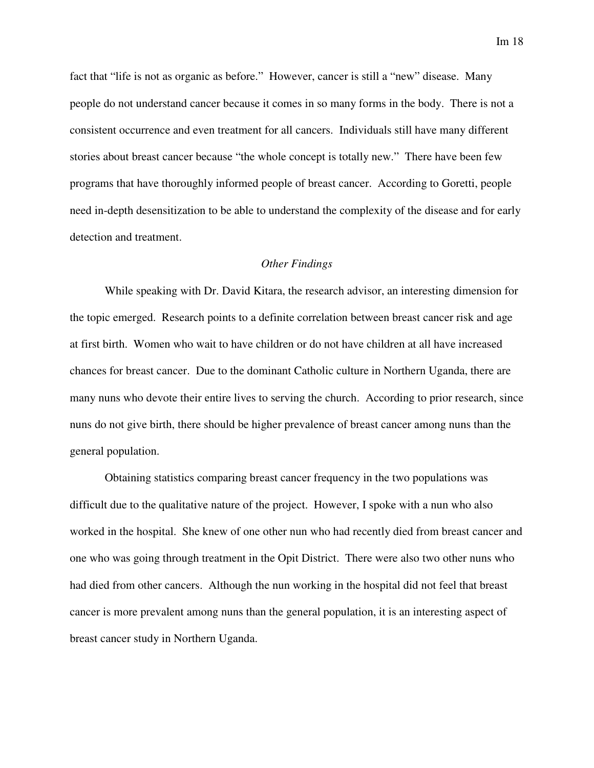fact that "life is not as organic as before." However, cancer is still a "new" disease. Many people do not understand cancer because it comes in so many forms in the body. There is not a consistent occurrence and even treatment for all cancers. Individuals still have many different stories about breast cancer because "the whole concept is totally new." There have been few programs that have thoroughly informed people of breast cancer. According to Goretti, people need in-depth desensitization to be able to understand the complexity of the disease and for early detection and treatment.

#### *Other Findings*

While speaking with Dr. David Kitara, the research advisor, an interesting dimension for the topic emerged. Research points to a definite correlation between breast cancer risk and age at first birth. Women who wait to have children or do not have children at all have increased chances for breast cancer. Due to the dominant Catholic culture in Northern Uganda, there are many nuns who devote their entire lives to serving the church. According to prior research, since nuns do not give birth, there should be higher prevalence of breast cancer among nuns than the general population.

Obtaining statistics comparing breast cancer frequency in the two populations was difficult due to the qualitative nature of the project. However, I spoke with a nun who also worked in the hospital. She knew of one other nun who had recently died from breast cancer and one who was going through treatment in the Opit District. There were also two other nuns who had died from other cancers. Although the nun working in the hospital did not feel that breast cancer is more prevalent among nuns than the general population, it is an interesting aspect of breast cancer study in Northern Uganda.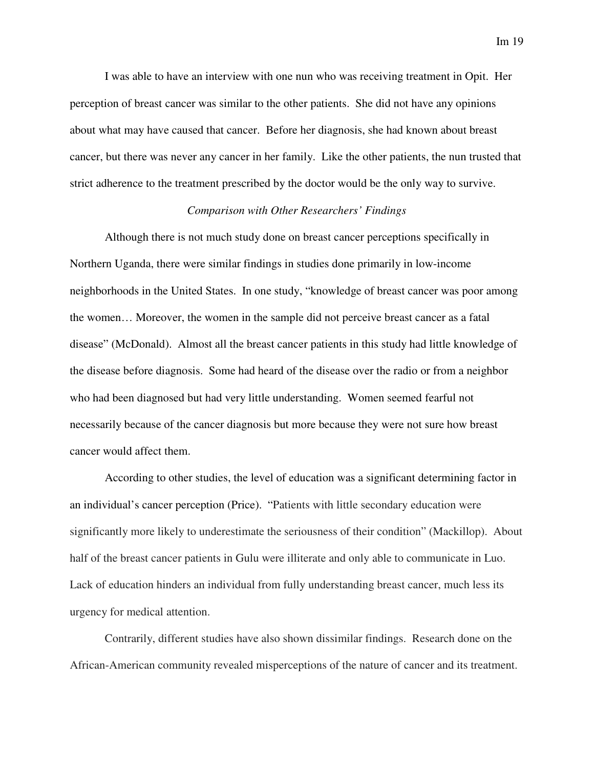I was able to have an interview with one nun who was receiving treatment in Opit. Her perception of breast cancer was similar to the other patients. She did not have any opinions about what may have caused that cancer. Before her diagnosis, she had known about breast cancer, but there was never any cancer in her family. Like the other patients, the nun trusted that strict adherence to the treatment prescribed by the doctor would be the only way to survive.

#### *Comparison with Other Researchers' Findings*

 Although there is not much study done on breast cancer perceptions specifically in Northern Uganda, there were similar findings in studies done primarily in low-income neighborhoods in the United States. In one study, "knowledge of breast cancer was poor among the women… Moreover, the women in the sample did not perceive breast cancer as a fatal disease" (McDonald). Almost all the breast cancer patients in this study had little knowledge of the disease before diagnosis. Some had heard of the disease over the radio or from a neighbor who had been diagnosed but had very little understanding. Women seemed fearful not necessarily because of the cancer diagnosis but more because they were not sure how breast cancer would affect them.

 According to other studies, the level of education was a significant determining factor in an individual's cancer perception (Price). "Patients with little secondary education were significantly more likely to underestimate the seriousness of their condition" (Mackillop). About half of the breast cancer patients in Gulu were illiterate and only able to communicate in Luo. Lack of education hinders an individual from fully understanding breast cancer, much less its urgency for medical attention.

 Contrarily, different studies have also shown dissimilar findings. Research done on the African-American community revealed misperceptions of the nature of cancer and its treatment.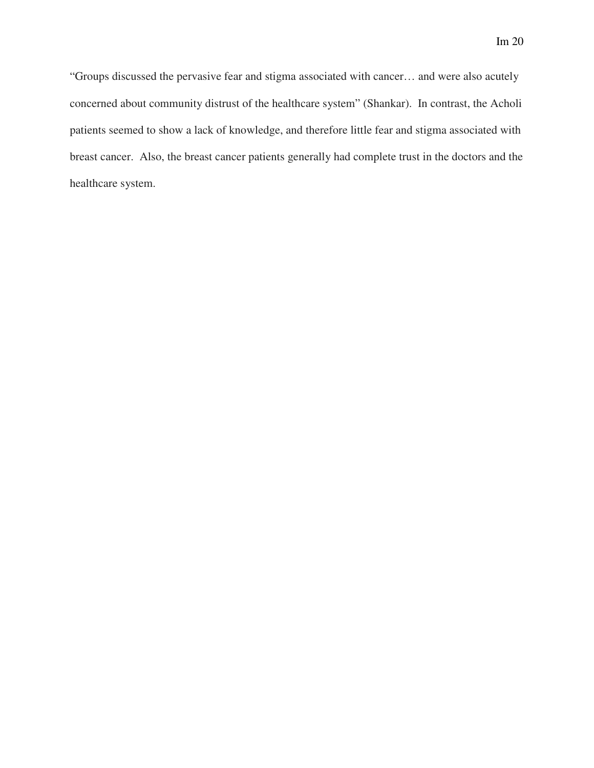"Groups discussed the pervasive fear and stigma associated with cancer… and were also acutely concerned about community distrust of the healthcare system" (Shankar). In contrast, the Acholi patients seemed to show a lack of knowledge, and therefore little fear and stigma associated with breast cancer. Also, the breast cancer patients generally had complete trust in the doctors and the healthcare system.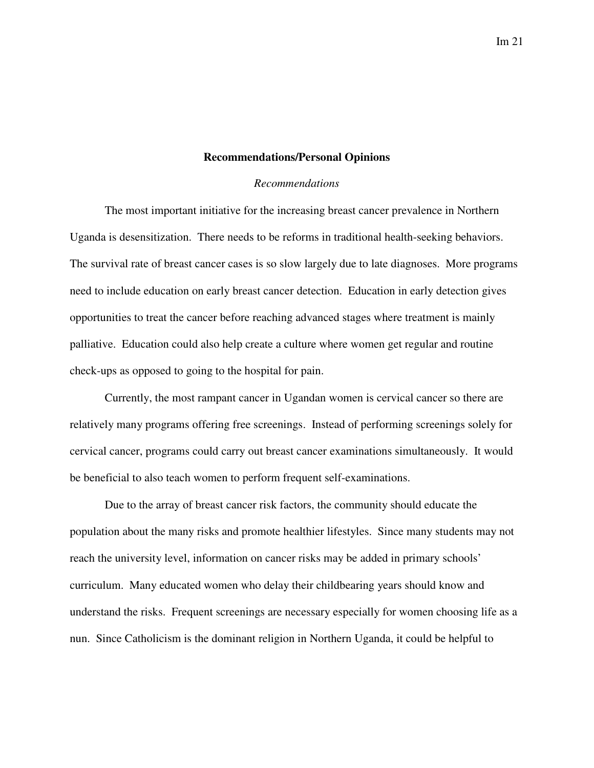#### Im 21

#### **Recommendations/Personal Opinions**

#### *Recommendations*

 The most important initiative for the increasing breast cancer prevalence in Northern Uganda is desensitization. There needs to be reforms in traditional health-seeking behaviors. The survival rate of breast cancer cases is so slow largely due to late diagnoses. More programs need to include education on early breast cancer detection. Education in early detection gives opportunities to treat the cancer before reaching advanced stages where treatment is mainly palliative. Education could also help create a culture where women get regular and routine check-ups as opposed to going to the hospital for pain.

Currently, the most rampant cancer in Ugandan women is cervical cancer so there are relatively many programs offering free screenings. Instead of performing screenings solely for cervical cancer, programs could carry out breast cancer examinations simultaneously. It would be beneficial to also teach women to perform frequent self-examinations.

 Due to the array of breast cancer risk factors, the community should educate the population about the many risks and promote healthier lifestyles. Since many students may not reach the university level, information on cancer risks may be added in primary schools' curriculum. Many educated women who delay their childbearing years should know and understand the risks. Frequent screenings are necessary especially for women choosing life as a nun. Since Catholicism is the dominant religion in Northern Uganda, it could be helpful to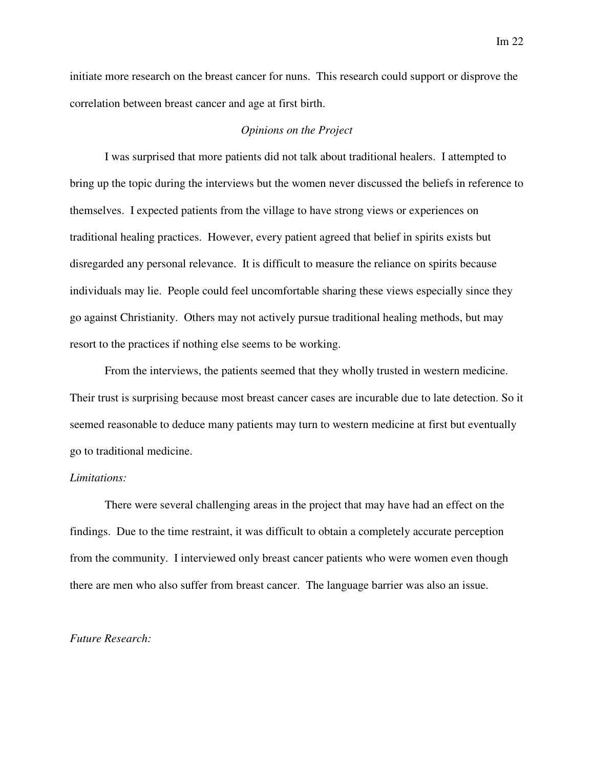initiate more research on the breast cancer for nuns. This research could support or disprove the correlation between breast cancer and age at first birth.

#### *Opinions on the Project*

 I was surprised that more patients did not talk about traditional healers. I attempted to bring up the topic during the interviews but the women never discussed the beliefs in reference to themselves. I expected patients from the village to have strong views or experiences on traditional healing practices. However, every patient agreed that belief in spirits exists but disregarded any personal relevance. It is difficult to measure the reliance on spirits because individuals may lie. People could feel uncomfortable sharing these views especially since they go against Christianity. Others may not actively pursue traditional healing methods, but may resort to the practices if nothing else seems to be working.

From the interviews, the patients seemed that they wholly trusted in western medicine. Their trust is surprising because most breast cancer cases are incurable due to late detection. So it seemed reasonable to deduce many patients may turn to western medicine at first but eventually go to traditional medicine.

#### *Limitations:*

There were several challenging areas in the project that may have had an effect on the findings. Due to the time restraint, it was difficult to obtain a completely accurate perception from the community. I interviewed only breast cancer patients who were women even though there are men who also suffer from breast cancer. The language barrier was also an issue.

#### *Future Research:*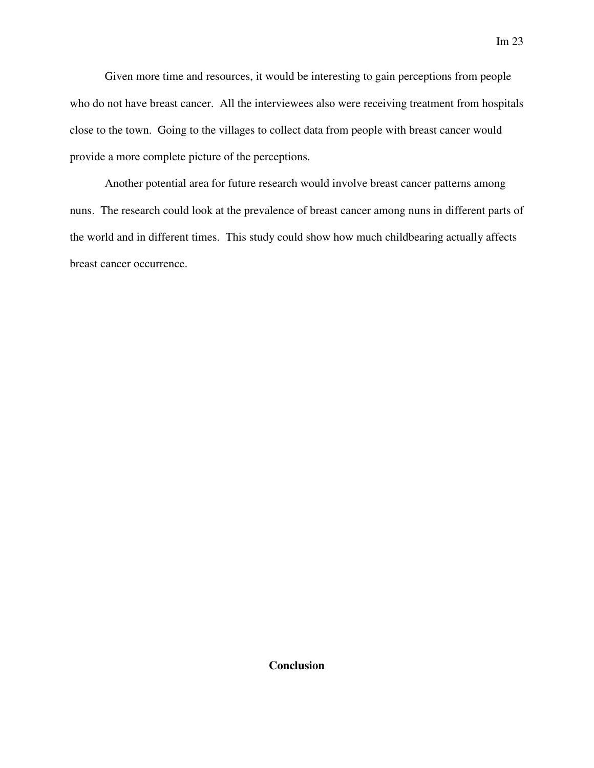Given more time and resources, it would be interesting to gain perceptions from people who do not have breast cancer. All the interviewees also were receiving treatment from hospitals close to the town. Going to the villages to collect data from people with breast cancer would provide a more complete picture of the perceptions.

 Another potential area for future research would involve breast cancer patterns among nuns. The research could look at the prevalence of breast cancer among nuns in different parts of the world and in different times. This study could show how much childbearing actually affects breast cancer occurrence.

**Conclusion**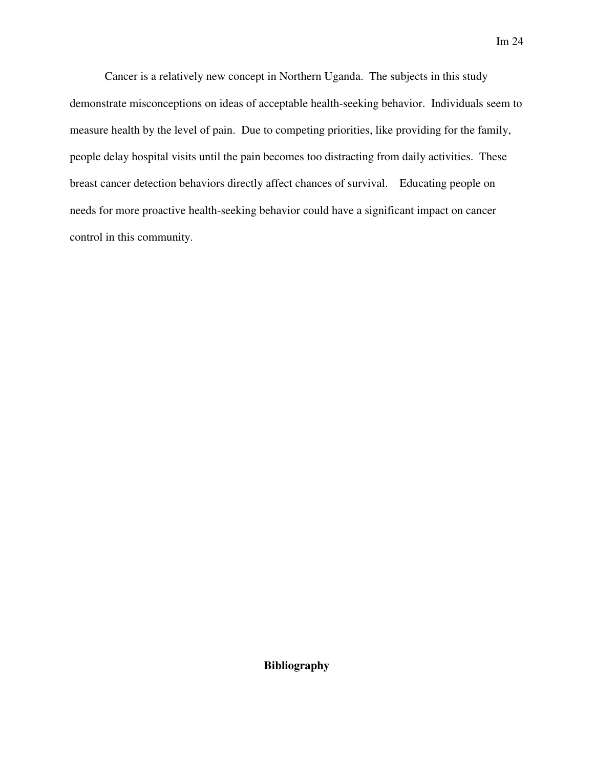Cancer is a relatively new concept in Northern Uganda. The subjects in this study demonstrate misconceptions on ideas of acceptable health-seeking behavior. Individuals seem to measure health by the level of pain. Due to competing priorities, like providing for the family, people delay hospital visits until the pain becomes too distracting from daily activities. These breast cancer detection behaviors directly affect chances of survival. Educating people on needs for more proactive health-seeking behavior could have a significant impact on cancer control in this community.

**Bibliography**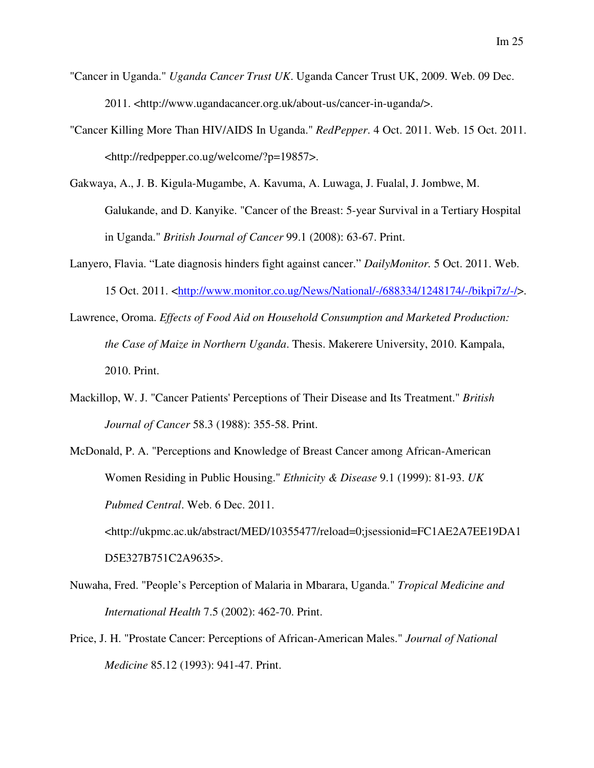- "Cancer in Uganda." *Uganda Cancer Trust UK*. Uganda Cancer Trust UK, 2009. Web. 09 Dec. 2011. <http://www.ugandacancer.org.uk/about-us/cancer-in-uganda/>.
- "Cancer Killing More Than HIV/AIDS In Uganda." *RedPepper*. 4 Oct. 2011. Web. 15 Oct. 2011. <http://redpepper.co.ug/welcome/?p=19857>.
- Gakwaya, A., J. B. Kigula-Mugambe, A. Kavuma, A. Luwaga, J. Fualal, J. Jombwe, M. Galukande, and D. Kanyike. "Cancer of the Breast: 5-year Survival in a Tertiary Hospital in Uganda." *British Journal of Cancer* 99.1 (2008): 63-67. Print.
- Lanyero, Flavia. "Late diagnosis hinders fight against cancer." *DailyMonitor.* 5 Oct. 2011. Web. 15 Oct. 2011. <http://www.monitor.co.ug/News/National/-/688334/1248174/-/bikpi7z/-/>.
- Lawrence, Oroma. *Effects of Food Aid on Household Consumption and Marketed Production: the Case of Maize in Northern Uganda*. Thesis. Makerere University, 2010. Kampala, 2010. Print.
- Mackillop, W. J. "Cancer Patients' Perceptions of Their Disease and Its Treatment." *British Journal of Cancer* 58.3 (1988): 355-58. Print.
- McDonald, P. A. "Perceptions and Knowledge of Breast Cancer among African-American Women Residing in Public Housing." *Ethnicity & Disease* 9.1 (1999): 81-93. *UK Pubmed Central*. Web. 6 Dec. 2011. <http://ukpmc.ac.uk/abstract/MED/10355477/reload=0;jsessionid=FC1AE2A7EE19DA1

Nuwaha, Fred. "People's Perception of Malaria in Mbarara, Uganda." *Tropical Medicine and International Health* 7.5 (2002): 462-70. Print.

D5E327B751C2A9635>.

Price, J. H. "Prostate Cancer: Perceptions of African-American Males." *Journal of National Medicine* 85.12 (1993): 941-47. Print.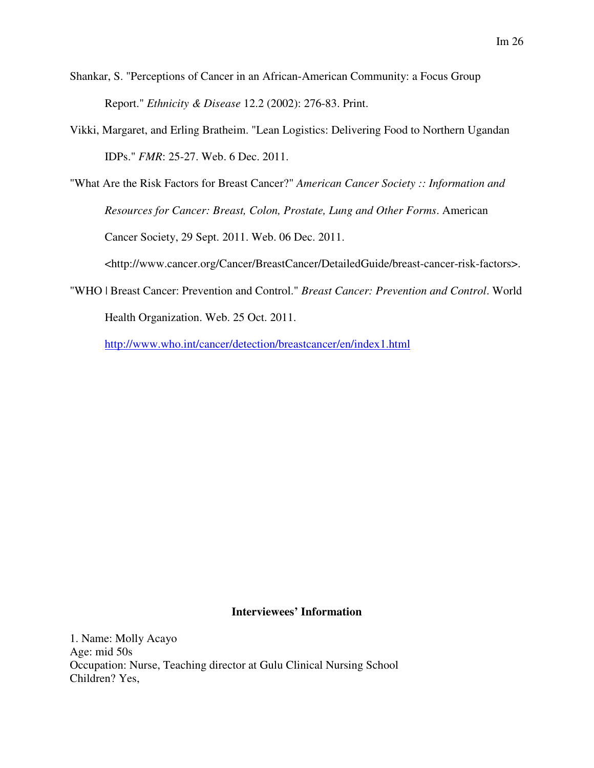- Shankar, S. "Perceptions of Cancer in an African-American Community: a Focus Group Report." *Ethnicity & Disease* 12.2 (2002): 276-83. Print.
- Vikki, Margaret, and Erling Bratheim. "Lean Logistics: Delivering Food to Northern Ugandan IDPs." *FMR*: 25-27. Web. 6 Dec. 2011.
- "What Are the Risk Factors for Breast Cancer?" *American Cancer Society :: Information and Resources for Cancer: Breast, Colon, Prostate, Lung and Other Forms*. American Cancer Society, 29 Sept. 2011. Web. 06 Dec. 2011. <http://www.cancer.org/Cancer/BreastCancer/DetailedGuide/breast-cancer-risk-factors>.
- "WHO | Breast Cancer: Prevention and Control." *Breast Cancer: Prevention and Control*. World Health Organization. Web. 25 Oct. 2011.

http://www.who.int/cancer/detection/breastcancer/en/index1.html

### **Interviewees' Information**

1. Name: Molly Acayo Age: mid 50s Occupation: Nurse, Teaching director at Gulu Clinical Nursing School Children? Yes,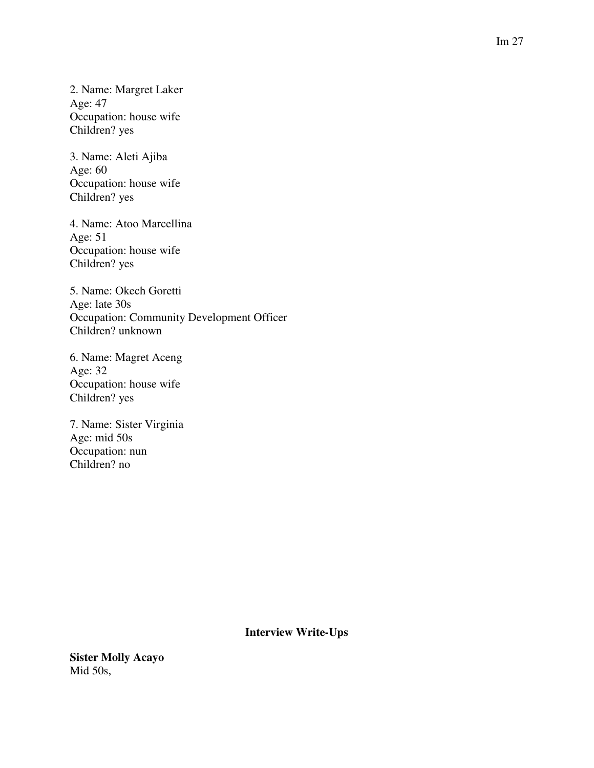2. Name: Margret Laker Age: 47 Occupation: house wife Children? yes

3. Name: Aleti Ajiba Age: 60 Occupation: house wife Children? yes

4. Name: Atoo Marcellina Age: 51 Occupation: house wife Children? yes

5. Name: Okech Goretti Age: late 30s Occupation: Community Development Officer Children? unknown

6. Name: Magret Aceng Age: 32 Occupation: house wife Children? yes

7. Name: Sister Virginia Age: mid 50s Occupation: nun Children? no

**Interview Write-Ups** 

**Sister Molly Acayo**  Mid 50s,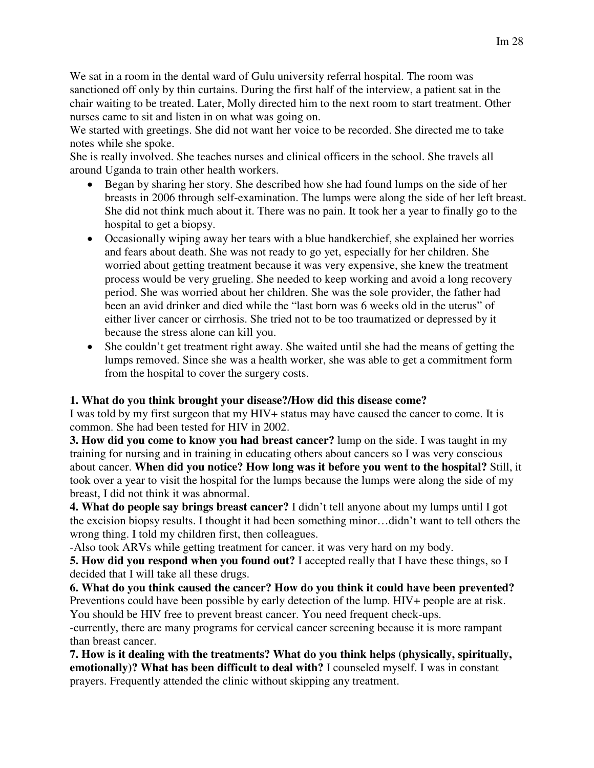We sat in a room in the dental ward of Gulu university referral hospital. The room was sanctioned off only by thin curtains. During the first half of the interview, a patient sat in the chair waiting to be treated. Later, Molly directed him to the next room to start treatment. Other nurses came to sit and listen in on what was going on.

We started with greetings. She did not want her voice to be recorded. She directed me to take notes while she spoke.

She is really involved. She teaches nurses and clinical officers in the school. She travels all around Uganda to train other health workers.

- Began by sharing her story. She described how she had found lumps on the side of her breasts in 2006 through self-examination. The lumps were along the side of her left breast. She did not think much about it. There was no pain. It took her a year to finally go to the hospital to get a biopsy.
- Occasionally wiping away her tears with a blue handkerchief, she explained her worries and fears about death. She was not ready to go yet, especially for her children. She worried about getting treatment because it was very expensive, she knew the treatment process would be very grueling. She needed to keep working and avoid a long recovery period. She was worried about her children. She was the sole provider, the father had been an avid drinker and died while the "last born was 6 weeks old in the uterus" of either liver cancer or cirrhosis. She tried not to be too traumatized or depressed by it because the stress alone can kill you.
- She couldn't get treatment right away. She waited until she had the means of getting the lumps removed. Since she was a health worker, she was able to get a commitment form from the hospital to cover the surgery costs.

### **1. What do you think brought your disease?/How did this disease come?**

I was told by my first surgeon that my HIV+ status may have caused the cancer to come. It is common. She had been tested for HIV in 2002.

**3. How did you come to know you had breast cancer?** lump on the side. I was taught in my training for nursing and in training in educating others about cancers so I was very conscious about cancer. **When did you notice? How long was it before you went to the hospital?** Still, it took over a year to visit the hospital for the lumps because the lumps were along the side of my breast, I did not think it was abnormal.

**4. What do people say brings breast cancer?** I didn't tell anyone about my lumps until I got the excision biopsy results. I thought it had been something minor…didn't want to tell others the wrong thing. I told my children first, then colleagues.

-Also took ARVs while getting treatment for cancer. it was very hard on my body.

**5. How did you respond when you found out?** I accepted really that I have these things, so I decided that I will take all these drugs.

**6. What do you think caused the cancer? How do you think it could have been prevented?**  Preventions could have been possible by early detection of the lump. HIV+ people are at risk. You should be HIV free to prevent breast cancer. You need frequent check-ups.

-currently, there are many programs for cervical cancer screening because it is more rampant than breast cancer.

**7. How is it dealing with the treatments? What do you think helps (physically, spiritually, emotionally)? What has been difficult to deal with?** I counseled myself. I was in constant prayers. Frequently attended the clinic without skipping any treatment.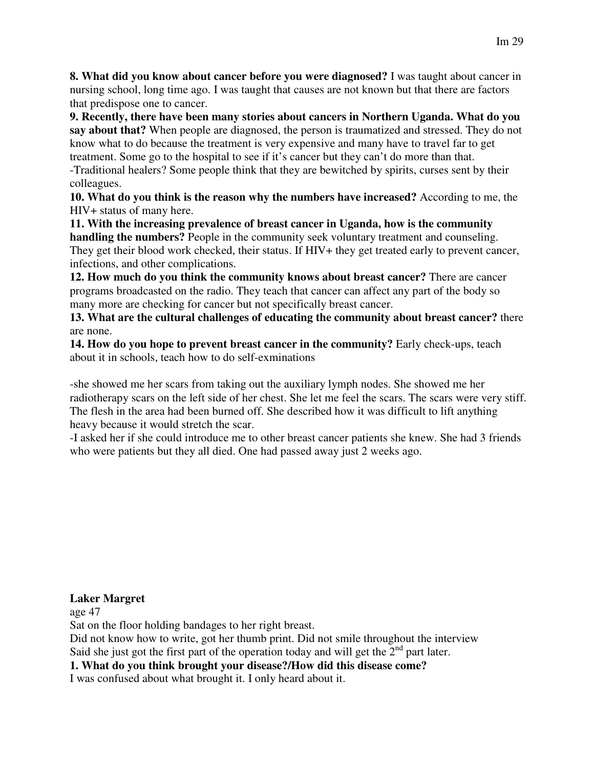**8. What did you know about cancer before you were diagnosed?** I was taught about cancer in nursing school, long time ago. I was taught that causes are not known but that there are factors that predispose one to cancer.

**9. Recently, there have been many stories about cancers in Northern Uganda. What do you say about that?** When people are diagnosed, the person is traumatized and stressed. They do not know what to do because the treatment is very expensive and many have to travel far to get treatment. Some go to the hospital to see if it's cancer but they can't do more than that. -Traditional healers? Some people think that they are bewitched by spirits, curses sent by their colleagues.

**10. What do you think is the reason why the numbers have increased?** According to me, the HIV+ status of many here.

**11. With the increasing prevalence of breast cancer in Uganda, how is the community handling the numbers?** People in the community seek voluntary treatment and counseling. They get their blood work checked, their status. If HIV+ they get treated early to prevent cancer, infections, and other complications.

**12. How much do you think the community knows about breast cancer?** There are cancer programs broadcasted on the radio. They teach that cancer can affect any part of the body so many more are checking for cancer but not specifically breast cancer.

**13. What are the cultural challenges of educating the community about breast cancer?** there are none.

**14. How do you hope to prevent breast cancer in the community?** Early check-ups, teach about it in schools, teach how to do self-exminations

-she showed me her scars from taking out the auxiliary lymph nodes. She showed me her radiotherapy scars on the left side of her chest. She let me feel the scars. The scars were very stiff. The flesh in the area had been burned off. She described how it was difficult to lift anything heavy because it would stretch the scar.

-I asked her if she could introduce me to other breast cancer patients she knew. She had 3 friends who were patients but they all died. One had passed away just 2 weeks ago.

### **Laker Margret**

age 47

Sat on the floor holding bandages to her right breast.

Did not know how to write, got her thumb print. Did not smile throughout the interview Said she just got the first part of the operation today and will get the  $2<sup>nd</sup>$  part later.

# **1. What do you think brought your disease?/How did this disease come?**

I was confused about what brought it. I only heard about it.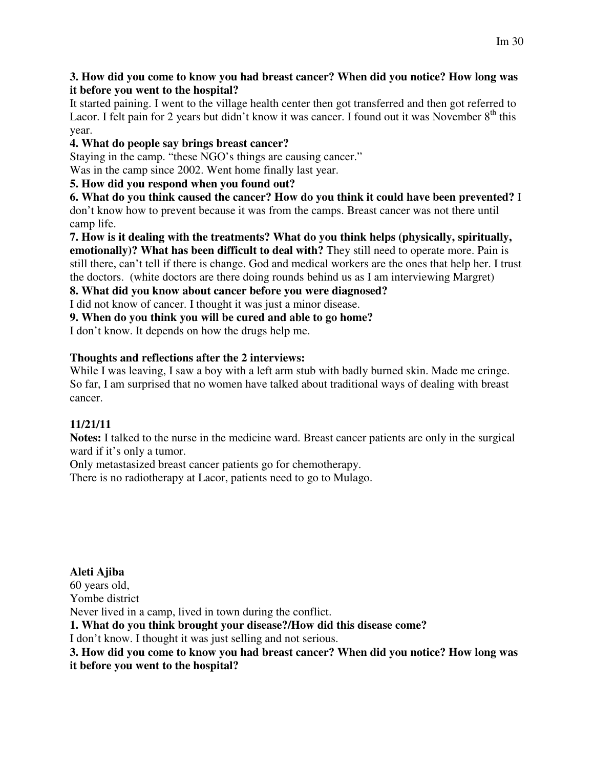### **3. How did you come to know you had breast cancer? When did you notice? How long was it before you went to the hospital?**

It started paining. I went to the village health center then got transferred and then got referred to Lacor. I felt pain for 2 years but didn't know it was cancer. I found out it was November  $8<sup>th</sup>$  this year.

# **4. What do people say brings breast cancer?**

Staying in the camp. "these NGO's things are causing cancer."

Was in the camp since 2002. Went home finally last year.

# **5. How did you respond when you found out?**

**6. What do you think caused the cancer? How do you think it could have been prevented?** I don't know how to prevent because it was from the camps. Breast cancer was not there until camp life.

**7. How is it dealing with the treatments? What do you think helps (physically, spiritually, emotionally)? What has been difficult to deal with?** They still need to operate more. Pain is still there, can't tell if there is change. God and medical workers are the ones that help her. I trust the doctors. (white doctors are there doing rounds behind us as I am interviewing Margret)

### **8. What did you know about cancer before you were diagnosed?**

I did not know of cancer. I thought it was just a minor disease.

**9. When do you think you will be cured and able to go home?** 

I don't know. It depends on how the drugs help me.

# **Thoughts and reflections after the 2 interviews:**

While I was leaving, I saw a boy with a left arm stub with badly burned skin. Made me cringe. So far, I am surprised that no women have talked about traditional ways of dealing with breast cancer.

# **11/21/11**

**Notes:** I talked to the nurse in the medicine ward. Breast cancer patients are only in the surgical ward if it's only a tumor.

Only metastasized breast cancer patients go for chemotherapy.

There is no radiotherapy at Lacor, patients need to go to Mulago.

**Aleti Ajiba**  60 years old, Yombe district Never lived in a camp, lived in town during the conflict. **1. What do you think brought your disease?/How did this disease come?**  I don't know. I thought it was just selling and not serious.

**3. How did you come to know you had breast cancer? When did you notice? How long was it before you went to the hospital?**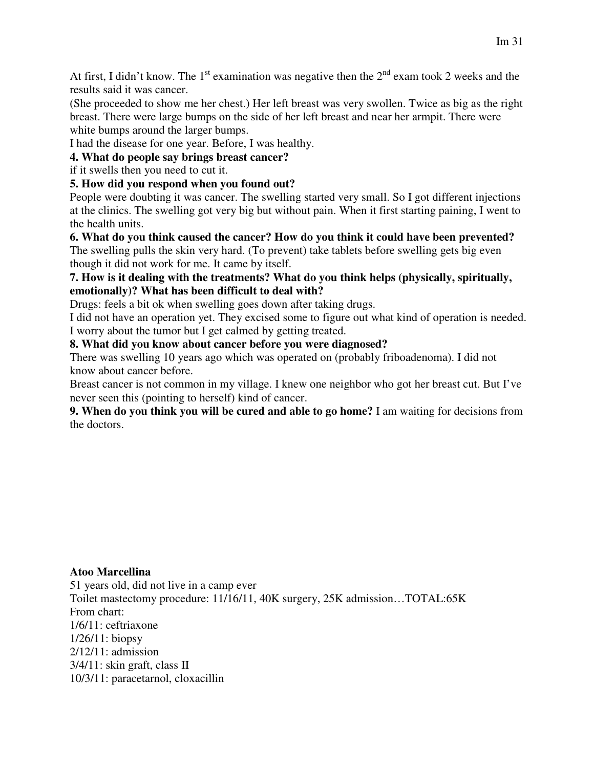At first, I didn't know. The 1<sup>st</sup> examination was negative then the  $2<sup>nd</sup>$  exam took 2 weeks and the results said it was cancer.

(She proceeded to show me her chest.) Her left breast was very swollen. Twice as big as the right breast. There were large bumps on the side of her left breast and near her armpit. There were white bumps around the larger bumps.

I had the disease for one year. Before, I was healthy.

**4. What do people say brings breast cancer?** 

if it swells then you need to cut it.

# **5. How did you respond when you found out?**

People were doubting it was cancer. The swelling started very small. So I got different injections at the clinics. The swelling got very big but without pain. When it first starting paining, I went to the health units.

**6. What do you think caused the cancer? How do you think it could have been prevented?**  The swelling pulls the skin very hard. (To prevent) take tablets before swelling gets big even though it did not work for me. It came by itself.

### **7. How is it dealing with the treatments? What do you think helps (physically, spiritually, emotionally)? What has been difficult to deal with?**

Drugs: feels a bit ok when swelling goes down after taking drugs.

I did not have an operation yet. They excised some to figure out what kind of operation is needed. I worry about the tumor but I get calmed by getting treated.

### **8. What did you know about cancer before you were diagnosed?**

There was swelling 10 years ago which was operated on (probably friboadenoma). I did not know about cancer before.

Breast cancer is not common in my village. I knew one neighbor who got her breast cut. But I've never seen this (pointing to herself) kind of cancer.

**9. When do you think you will be cured and able to go home?** I am waiting for decisions from the doctors.

### **Atoo Marcellina**

51 years old, did not live in a camp ever Toilet mastectomy procedure: 11/16/11, 40K surgery, 25K admission…TOTAL:65K From chart: 1/6/11: ceftriaxone 1/26/11: biopsy 2/12/11: admission 3/4/11: skin graft, class II 10/3/11: paracetarnol, cloxacillin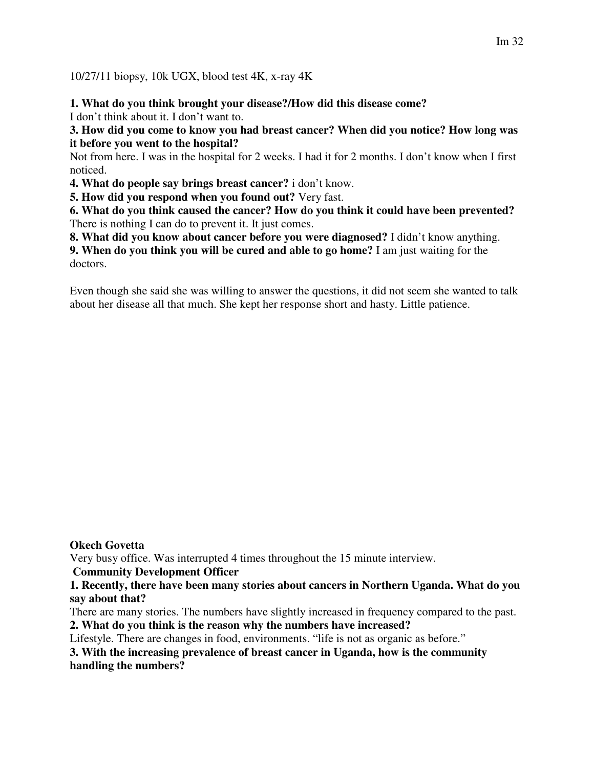10/27/11 biopsy, 10k UGX, blood test 4K, x-ray 4K

**1. What do you think brought your disease?/How did this disease come?** 

I don't think about it. I don't want to.

**3. How did you come to know you had breast cancer? When did you notice? How long was it before you went to the hospital?** 

Not from here. I was in the hospital for 2 weeks. I had it for 2 months. I don't know when I first noticed.

**4. What do people say brings breast cancer?** i don't know.

**5. How did you respond when you found out?** Very fast.

**6. What do you think caused the cancer? How do you think it could have been prevented?**  There is nothing I can do to prevent it. It just comes.

**8. What did you know about cancer before you were diagnosed?** I didn't know anything.

**9. When do you think you will be cured and able to go home?** I am just waiting for the doctors.

Even though she said she was willing to answer the questions, it did not seem she wanted to talk about her disease all that much. She kept her response short and hasty. Little patience.

### **Okech Govetta**

Very busy office. Was interrupted 4 times throughout the 15 minute interview.

 **Community Development Officer** 

**1. Recently, there have been many stories about cancers in Northern Uganda. What do you say about that?** 

There are many stories. The numbers have slightly increased in frequency compared to the past.

**2. What do you think is the reason why the numbers have increased?** 

Lifestyle. There are changes in food, environments. "life is not as organic as before."

**3. With the increasing prevalence of breast cancer in Uganda, how is the community handling the numbers?**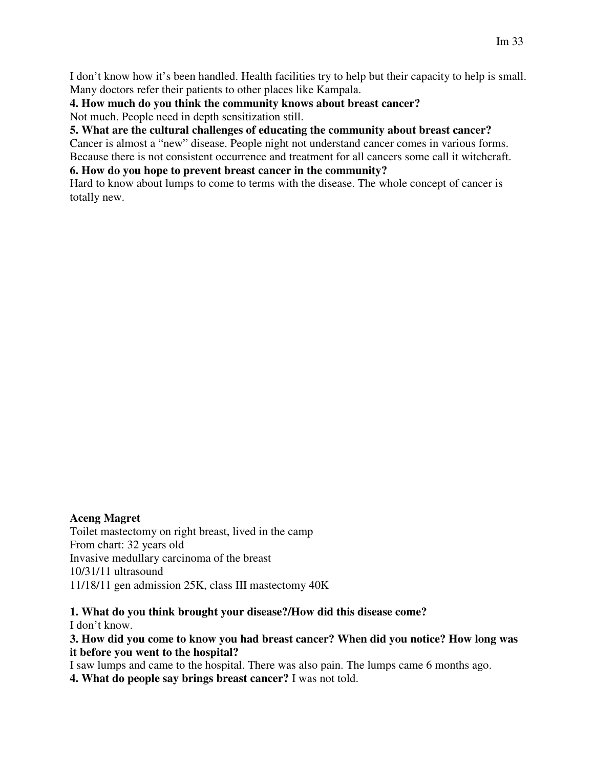I don't know how it's been handled. Health facilities try to help but their capacity to help is small. Many doctors refer their patients to other places like Kampala.

### **4. How much do you think the community knows about breast cancer?**  Not much. People need in depth sensitization still.

### **5. What are the cultural challenges of educating the community about breast cancer?**

Cancer is almost a "new" disease. People night not understand cancer comes in various forms. Because there is not consistent occurrence and treatment for all cancers some call it witchcraft.

### **6. How do you hope to prevent breast cancer in the community?**

Hard to know about lumps to come to terms with the disease. The whole concept of cancer is totally new.

### **Aceng Magret**

Toilet mastectomy on right breast, lived in the camp From chart: 32 years old Invasive medullary carcinoma of the breast 10/31/11 ultrasound 11/18/11 gen admission 25K, class III mastectomy 40K

# **1. What do you think brought your disease?/How did this disease come?**

I don't know.

### **3. How did you come to know you had breast cancer? When did you notice? How long was it before you went to the hospital?**

I saw lumps and came to the hospital. There was also pain. The lumps came 6 months ago.

**4. What do people say brings breast cancer?** I was not told.